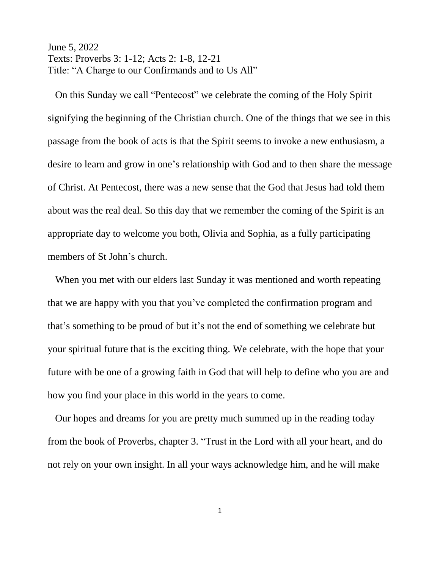June 5, 2022 Texts: Proverbs 3: 1-12; Acts 2: 1-8, 12-21 Title: "A Charge to our Confirmands and to Us All"

 On this Sunday we call "Pentecost" we celebrate the coming of the Holy Spirit signifying the beginning of the Christian church. One of the things that we see in this passage from the book of acts is that the Spirit seems to invoke a new enthusiasm, a desire to learn and grow in one's relationship with God and to then share the message of Christ. At Pentecost, there was a new sense that the God that Jesus had told them about was the real deal. So this day that we remember the coming of the Spirit is an appropriate day to welcome you both, Olivia and Sophia, as a fully participating members of St John's church.

 When you met with our elders last Sunday it was mentioned and worth repeating that we are happy with you that you've completed the confirmation program and that's something to be proud of but it's not the end of something we celebrate but your spiritual future that is the exciting thing. We celebrate, with the hope that your future with be one of a growing faith in God that will help to define who you are and how you find your place in this world in the years to come.

 Our hopes and dreams for you are pretty much summed up in the reading today from the book of Proverbs, chapter 3. "Trust in the Lord with all your heart, and do not rely on your own insight. In all your ways acknowledge him, and he will make

1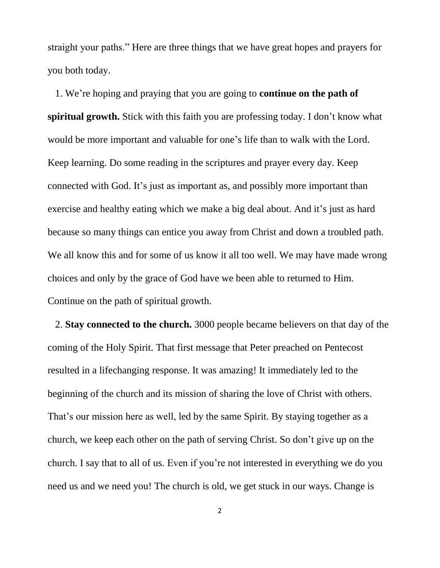straight your paths." Here are three things that we have great hopes and prayers for you both today.

 1. We're hoping and praying that you are going to **continue on the path of spiritual growth.** Stick with this faith you are professing today. I don't know what would be more important and valuable for one's life than to walk with the Lord. Keep learning. Do some reading in the scriptures and prayer every day. Keep connected with God. It's just as important as, and possibly more important than exercise and healthy eating which we make a big deal about. And it's just as hard because so many things can entice you away from Christ and down a troubled path. We all know this and for some of us know it all too well. We may have made wrong choices and only by the grace of God have we been able to returned to Him. Continue on the path of spiritual growth.

 2. **Stay connected to the church.** 3000 people became believers on that day of the coming of the Holy Spirit. That first message that Peter preached on Pentecost resulted in a lifechanging response. It was amazing! It immediately led to the beginning of the church and its mission of sharing the love of Christ with others. That's our mission here as well, led by the same Spirit. By staying together as a church, we keep each other on the path of serving Christ. So don't give up on the church. I say that to all of us. Even if you're not interested in everything we do you need us and we need you! The church is old, we get stuck in our ways. Change is

2